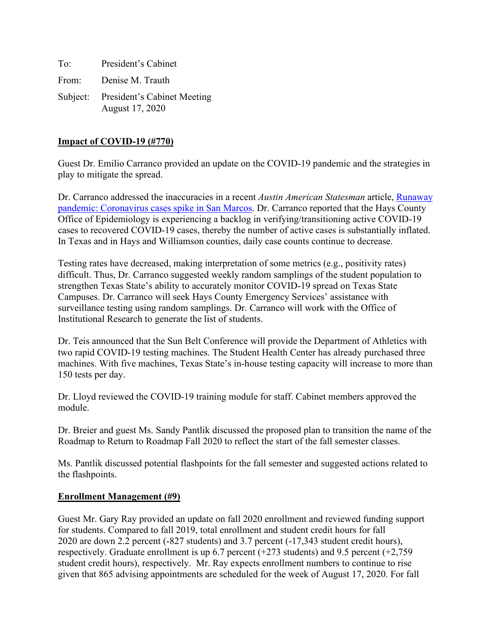To: President's Cabinet From: Denise M. Trauth Subject: President's Cabinet Meeting August 17, 2020

#### **Impact of COVID-19 (#770)**

Guest Dr. Emilio Carranco provided an update on the COVID-19 pandemic and the strategies in play to mitigate the spread.

Dr. Carranco addressed the inaccuracies in a recent *Austin American Statesman* article, [Runaway](https://www.statesman.com/news/20200814/runaway-pandemic-coronavirus-cases-spike-in-san-marcos)  [pandemic: Coronavirus cases spike in San Marcos.](https://www.statesman.com/news/20200814/runaway-pandemic-coronavirus-cases-spike-in-san-marcos) Dr. Carranco reported that the Hays County Office of Epidemiology is experiencing a backlog in verifying/transitioning active COVID-19 cases to recovered COVID-19 cases, thereby the number of active cases is substantially inflated. In Texas and in Hays and Williamson counties, daily case counts continue to decrease.

Testing rates have decreased, making interpretation of some metrics (e.g., positivity rates) difficult. Thus, Dr. Carranco suggested weekly random samplings of the student population to strengthen Texas State's ability to accurately monitor COVID-19 spread on Texas State Campuses. Dr. Carranco will seek Hays County Emergency Services' assistance with surveillance testing using random samplings. Dr. Carranco will work with the Office of Institutional Research to generate the list of students.

Dr. Teis announced that the Sun Belt Conference will provide the Department of Athletics with two rapid COVID-19 testing machines. The Student Health Center has already purchased three machines. With five machines, Texas State's in-house testing capacity will increase to more than 150 tests per day.

Dr. Lloyd reviewed the COVID-19 training module for staff. Cabinet members approved the module.

Dr. Breier and guest Ms. Sandy Pantlik discussed the proposed plan to transition the name of the Roadmap to Return to Roadmap Fall 2020 to reflect the start of the fall semester classes.

Ms. Pantlik discussed potential flashpoints for the fall semester and suggested actions related to the flashpoints.

#### **Enrollment Management (#9)**

Guest Mr. Gary Ray provided an update on fall 2020 enrollment and reviewed funding support for students. Compared to fall 2019, total enrollment and student credit hours for fall 2020 are down 2.2 percent (-827 students) and 3.7 percent (-17,343 student credit hours), respectively. Graduate enrollment is up 6.7 percent  $(+273 \text{ students})$  and 9.5 percent  $(+2,759 \text{...})$ student credit hours), respectively. Mr. Ray expects enrollment numbers to continue to rise given that 865 advising appointments are scheduled for the week of August 17, 2020. For fall